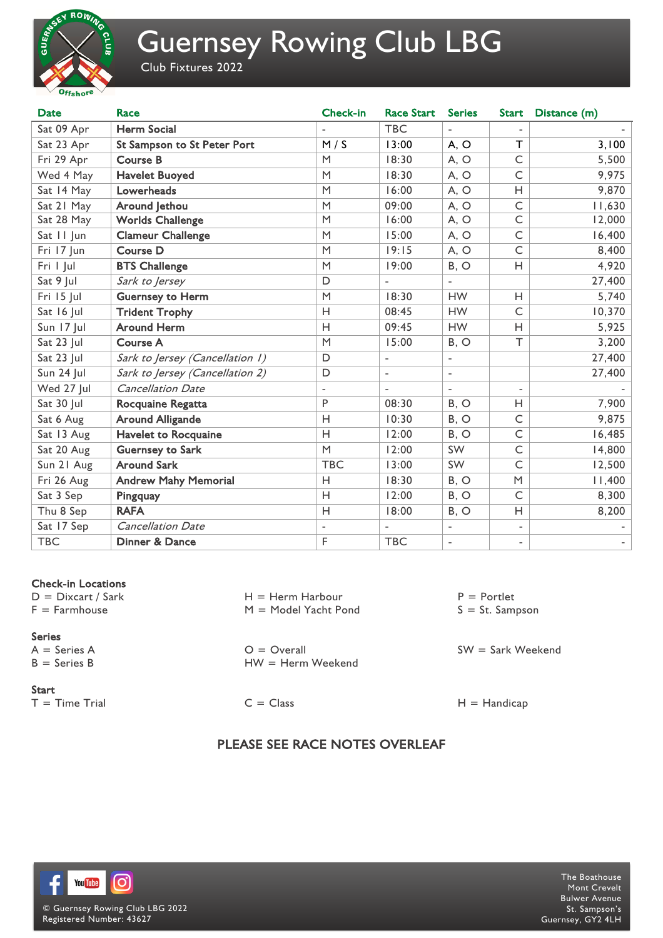

# Guernsey Rowing Club LBG

Club Fixtures 2022

| <b>Date</b> | Race                            | <b>Check-in</b>          | <b>Race Start</b>        | <b>Series</b>            | <b>Start</b>             | Distance (m) |
|-------------|---------------------------------|--------------------------|--------------------------|--------------------------|--------------------------|--------------|
| Sat 09 Apr  | <b>Herm Social</b>              |                          | <b>TBC</b>               |                          | $\overline{\phantom{a}}$ |              |
| Sat 23 Apr  | St Sampson to St Peter Port     | M/S                      | 13:00                    | A, O                     | $\top$                   | 3,100        |
| Fri 29 Apr  | <b>Course B</b>                 | M                        | 18:30                    | A, O                     | $\subset$                | 5,500        |
| Wed 4 May   | <b>Havelet Buoyed</b>           | M                        | 18:30                    | A, O                     | $\mathsf{C}$             | 9,975        |
| Sat 14 May  | Lowerheads                      | M                        | 16:00                    | A, O                     | Н                        | 9,870        |
| Sat 21 May  | Around Jethou                   | M                        | 09:00                    | A, O                     | $\subset$                | 11,630       |
| Sat 28 May  | <b>Worlds Challenge</b>         | M                        | 16:00                    | A, O                     | $\mathsf{C}$             | 12,000       |
| Sat II Jun  | <b>Clameur Challenge</b>        | M                        | 15:00                    | A, O                     | $\mathsf{C}$             | 16,400       |
| Fri 17 Jun  | <b>Course D</b>                 | M                        | 19:15                    | A, O                     | $\subset$                | 8,400        |
| Fri I Jul   | <b>BTS Challenge</b>            | M                        | 19:00                    | B, O                     | H                        | 4,920        |
| Sat 9 Jul   | Sark to Jersey                  | D                        | $\overline{a}$           | $\overline{a}$           |                          | 27,400       |
| Fri 15 Jul  | <b>Guernsey to Herm</b>         | M                        | 18:30                    | <b>HW</b>                | Н                        | 5,740        |
| Sat 16 Jul  | <b>Trident Trophy</b>           | H                        | 08:45                    | <b>HW</b>                | $\mathsf{C}$             | 10,370       |
| Sun 17 Jul  | <b>Around Herm</b>              | H                        | 09:45                    | <b>HW</b>                | Н                        | 5,925        |
| Sat 23 Jul  | <b>Course A</b>                 | M                        | 15:00                    | B, O                     | $\top$                   | 3,200        |
| Sat 23 Jul  | Sark to Jersey (Cancellation 1) | D                        | $\overline{\phantom{a}}$ | $\overline{\phantom{0}}$ |                          | 27,400       |
| Sun 24 Jul  | Sark to Jersey (Cancellation 2) | $\mathsf D$              | $\overline{\phantom{a}}$ | $\overline{\phantom{a}}$ |                          | 27,400       |
| Wed 27 Jul  | <b>Cancellation Date</b>        | $\overline{\phantom{a}}$ | $\overline{\phantom{a}}$ | $\overline{\phantom{a}}$ | $\overline{a}$           |              |
| Sat 30 Jul  | Rocquaine Regatta               | P                        | 08:30                    | B, O                     | Н                        | 7,900        |
| Sat 6 Aug   | <b>Around Alligande</b>         | H                        | 10:30                    | B, O                     | $\subset$                | 9,875        |
| Sat 13 Aug  | <b>Havelet to Rocquaine</b>     | H                        | 12:00                    | B, O                     | $\subset$                | 16,485       |
| Sat 20 Aug  | <b>Guernsey to Sark</b>         | M                        | 12:00                    | <b>SW</b>                | $\subset$                | 14,800       |
| Sun 21 Aug  | <b>Around Sark</b>              | <b>TBC</b>               | 13:00                    | SW                       | $\subset$                | 12,500       |
| Fri 26 Aug  | <b>Andrew Mahy Memorial</b>     | H                        | 18:30                    | B, O                     | M                        | 11,400       |
| Sat 3 Sep   | Pingquay                        | H                        | 12:00                    | B, O                     | $\subset$                | 8,300        |
| Thu 8 Sep   | <b>RAFA</b>                     | H                        | 18:00                    | B, O                     | H                        | 8,200        |
| Sat 17 Sep  | <b>Cancellation Date</b>        | $\blacksquare$           | $\overline{\phantom{a}}$ | $\overline{\phantom{a}}$ | $\overline{\phantom{a}}$ |              |
| <b>TBC</b>  | Dinner & Dance                  | F                        | <b>TBC</b>               | $\overline{\phantom{0}}$ | $\overline{\phantom{a}}$ |              |

## Check-in Locations

 $D =$  Dixcart / Sark  $F = Farmhouse$ 

### Series

 $A =$  Series A  $B =$  Series  $B$ 

#### **Start**

 $T =$ Time Trial C = Class H = Handicap

 $H =$  Herm Harbour M = Model Yacht Pond

 $O =$  Overall HW = Herm Weekend

PLEASE SEE RACE NOTES OVERLEAF

 $P =$  Portlet  $S = St.$  Sampson

SW = Sark Weekend